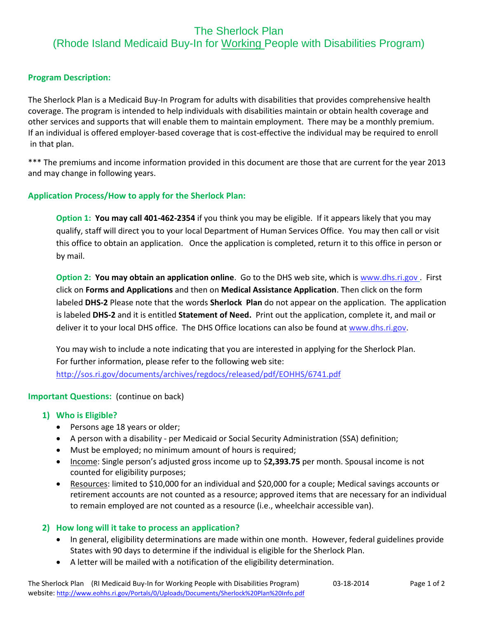# The Sherlock Plan (Rhode Island Medicaid Buy-In for Working People with Disabilities Program)

## **Program Description:**

The Sherlock Plan is a Medicaid Buy-In Program for adults with disabilities that provides comprehensive health coverage. The program is intended to help individuals with disabilities maintain or obtain health coverage and other services and supports that will enable them to maintain employment. There may be a monthly premium. If an individual is offered employer-based coverage that is cost-effective the individual may be required to enroll in that plan.

\*\*\* The premiums and income information provided in this document are those that are current for the year 2013 and may change in following years.

## **Application Process/How to apply for the Sherlock Plan:**

**Option 1: You may call 401-462-2354** if you think you may be eligible. If it appears likely that you may qualify, staff will direct you to your local Department of Human Services Office. You may then call or visit this office to obtain an application. Once the application is completed, return it to this office in person or by mail.

**Option 2: You may obtain an application online**. Go to the DHS web site, which i[s www.dhs.ri.gov](http://www.dhs.ri.gov/) . First click on **Forms and Applications** and then on **Medical Assistance Application**. Then click on the form labeled **DHS-2** Please note that the words **Sherlock Plan** do not appear on the application. The application is labeled **DHS-2** and it is entitled **Statement of Need.** Print out the application, complete it, and mail or deliver it to your local DHS office. The DHS Office locations can also be found at [www.dhs.ri.gov.](http://www.dhs.ri.gov/)

You may wish to include a note indicating that you are interested in applying for the Sherlock Plan. For further information, please refer to the following web site: <http://sos.ri.gov/documents/archives/regdocs/released/pdf/EOHHS/6741.pdf>

#### **Important Questions:** (continue on back)

## **1) Who is Eligible?**

- Persons age 18 years or older;
- A person with a disability per Medicaid or Social Security Administration (SSA) definition;
- Must be employed; no minimum amount of hours is required;
- **Income:** Single person's adjusted gross income up to \$2,393.75 per month. Spousal income is not counted for eligibility purposes;
- Resources: limited to \$10,000 for an individual and \$20,000 for a couple; Medical savings accounts or retirement accounts are not counted as a resource; approved items that are necessary for an individual to remain employed are not counted as a resource (i.e., wheelchair accessible van).

## **2) How long will it take to process an application?**

- In general, eligibility determinations are made within one month. However, federal guidelines provide States with 90 days to determine if the individual is eligible for the Sherlock Plan.
- A letter will be mailed with a notification of the eligibility determination.